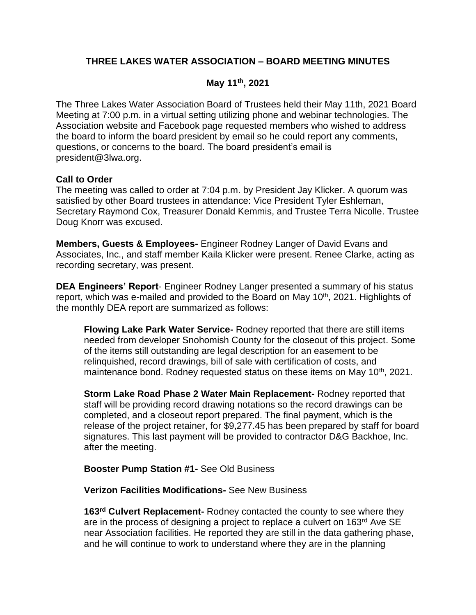# **THREE LAKES WATER ASSOCIATION – BOARD MEETING MINUTES**

## **May 11 th, 2021**

The Three Lakes Water Association Board of Trustees held their May 11th, 2021 Board Meeting at 7:00 p.m. in a virtual setting utilizing phone and webinar technologies. The Association website and Facebook page requested members who wished to address the board to inform the board president by email so he could report any comments, questions, or concerns to the board. The board president's email is president@3lwa.org.

#### **Call to Order**

The meeting was called to order at 7:04 p.m. by President Jay Klicker. A quorum was satisfied by other Board trustees in attendance: Vice President Tyler Eshleman, Secretary Raymond Cox, Treasurer Donald Kemmis, and Trustee Terra Nicolle. Trustee Doug Knorr was excused.

**Members, Guests & Employees-** Engineer Rodney Langer of David Evans and Associates, Inc., and staff member Kaila Klicker were present. Renee Clarke, acting as recording secretary, was present.

**DEA Engineers' Report**- Engineer Rodney Langer presented a summary of his status report, which was e-mailed and provided to the Board on May 10<sup>th</sup>, 2021. Highlights of the monthly DEA report are summarized as follows:

**Flowing Lake Park Water Service-** Rodney reported that there are still items needed from developer Snohomish County for the closeout of this project. Some of the items still outstanding are legal description for an easement to be relinquished, record drawings, bill of sale with certification of costs, and maintenance bond. Rodney requested status on these items on May 10<sup>th</sup>, 2021.

**Storm Lake Road Phase 2 Water Main Replacement-** Rodney reported that staff will be providing record drawing notations so the record drawings can be completed, and a closeout report prepared. The final payment, which is the release of the project retainer, for \$9,277.45 has been prepared by staff for board signatures. This last payment will be provided to contractor D&G Backhoe, Inc. after the meeting.

**Booster Pump Station #1-** See Old Business

**Verizon Facilities Modifications-** See New Business

**163rd Culvert Replacement-** Rodney contacted the county to see where they are in the process of designing a project to replace a culvert on 163<sup>rd</sup> Ave SE near Association facilities. He reported they are still in the data gathering phase, and he will continue to work to understand where they are in the planning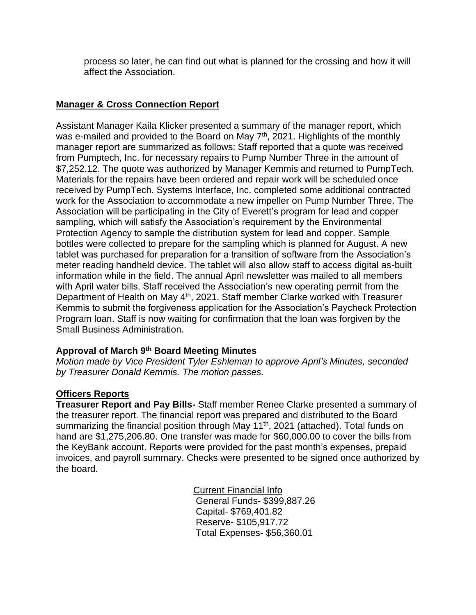process so later, he can find out what is planned for the crossing and how it will affect the Association.

# **Manager & Cross Connection Report**

Assistant Manager Kaila Klicker presented a summary of the manager report, which was e-mailed and provided to the Board on May 7<sup>th</sup>, 2021. Highlights of the monthly manager report are summarized as follows: Staff reported that a quote was received from Pumptech, Inc. for necessary repairs to Pump Number Three in the amount of \$7,252.12. The quote was authorized by Manager Kemmis and returned to PumpTech. Materials for the repairs have been ordered and repair work will be scheduled once received by PumpTech. Systems Interface, Inc. completed some additional contracted work for the Association to accommodate a new impeller on Pump Number Three. The Association will be participating in the City of Everett's program for lead and copper sampling, which will satisfy the Association's requirement by the Environmental Protection Agency to sample the distribution system for lead and copper. Sample bottles were collected to prepare for the sampling which is planned for August. A new tablet was purchased for preparation for a transition of software from the Association's meter reading handheld device. The tablet will also allow staff to access digital as-built information while in the field. The annual April newsletter was mailed to all members with April water bills. Staff received the Association's new operating permit from the Department of Health on May 4<sup>th</sup>, 2021. Staff member Clarke worked with Treasurer Kemmis to submit the forgiveness application for the Association's Paycheck Protection Program loan. Staff is now waiting for confirmation that the loan was forgiven by the Small Business Administration.

### **Approval of March 9 th Board Meeting Minutes**

*Motion made by Vice President Tyler Eshleman to approve April's Minutes, seconded by Treasurer Donald Kemmis. The motion passes.*

### **Officers Reports**

**Treasurer Report and Pay Bills-** Staff member Renee Clarke presented a summary of the treasurer report. The financial report was prepared and distributed to the Board summarizing the financial position through May 11<sup>th</sup>, 2021 (attached). Total funds on hand are \$1,275,206.80. One transfer was made for \$60,000.00 to cover the bills from the KeyBank account. Reports were provided for the past month's expenses, prepaid invoices, and payroll summary. Checks were presented to be signed once authorized by the board.

> Current Financial Info General Funds- \$399,887.26 Capital- \$769,401.82 Reserve- \$105,917.72 Total Expenses- \$56,360.01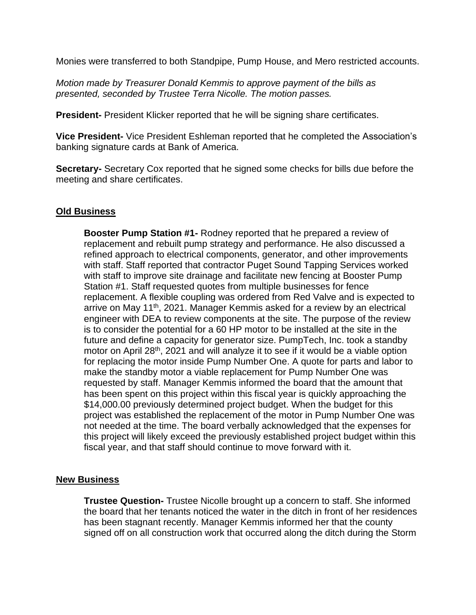Monies were transferred to both Standpipe, Pump House, and Mero restricted accounts.

*Motion made by Treasurer Donald Kemmis to approve payment of the bills as presented, seconded by Trustee Terra Nicolle. The motion passes.*

**President-** President Klicker reported that he will be signing share certificates.

**Vice President-** Vice President Eshleman reported that he completed the Association's banking signature cards at Bank of America.

**Secretary-** Secretary Cox reported that he signed some checks for bills due before the meeting and share certificates.

#### **Old Business**

**Booster Pump Station #1-** Rodney reported that he prepared a review of replacement and rebuilt pump strategy and performance. He also discussed a refined approach to electrical components, generator, and other improvements with staff. Staff reported that contractor Puget Sound Tapping Services worked with staff to improve site drainage and facilitate new fencing at Booster Pump Station #1. Staff requested quotes from multiple businesses for fence replacement. A flexible coupling was ordered from Red Valve and is expected to arrive on May 11<sup>th</sup>, 2021. Manager Kemmis asked for a review by an electrical engineer with DEA to review components at the site. The purpose of the review is to consider the potential for a 60 HP motor to be installed at the site in the future and define a capacity for generator size. PumpTech, Inc. took a standby motor on April 28<sup>th</sup>, 2021 and will analyze it to see if it would be a viable option for replacing the motor inside Pump Number One. A quote for parts and labor to make the standby motor a viable replacement for Pump Number One was requested by staff. Manager Kemmis informed the board that the amount that has been spent on this project within this fiscal year is quickly approaching the \$14,000.00 previously determined project budget. When the budget for this project was established the replacement of the motor in Pump Number One was not needed at the time. The board verbally acknowledged that the expenses for this project will likely exceed the previously established project budget within this fiscal year, and that staff should continue to move forward with it.

### **New Business**

**Trustee Question-** Trustee Nicolle brought up a concern to staff. She informed the board that her tenants noticed the water in the ditch in front of her residences has been stagnant recently. Manager Kemmis informed her that the county signed off on all construction work that occurred along the ditch during the Storm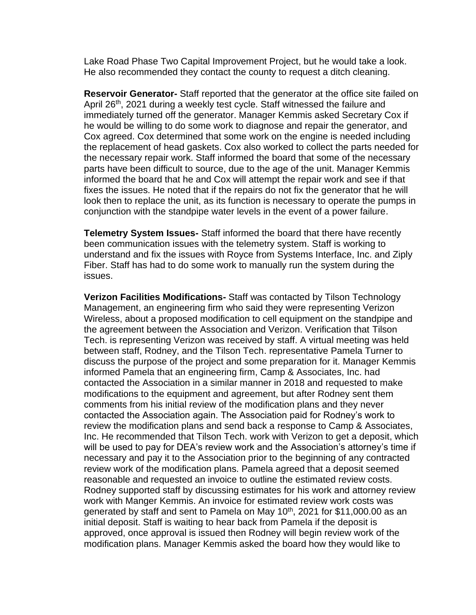Lake Road Phase Two Capital Improvement Project, but he would take a look. He also recommended they contact the county to request a ditch cleaning.

**Reservoir Generator-** Staff reported that the generator at the office site failed on April 26<sup>th</sup>, 2021 during a weekly test cycle. Staff witnessed the failure and immediately turned off the generator. Manager Kemmis asked Secretary Cox if he would be willing to do some work to diagnose and repair the generator, and Cox agreed. Cox determined that some work on the engine is needed including the replacement of head gaskets. Cox also worked to collect the parts needed for the necessary repair work. Staff informed the board that some of the necessary parts have been difficult to source, due to the age of the unit. Manager Kemmis informed the board that he and Cox will attempt the repair work and see if that fixes the issues. He noted that if the repairs do not fix the generator that he will look then to replace the unit, as its function is necessary to operate the pumps in conjunction with the standpipe water levels in the event of a power failure.

**Telemetry System Issues-** Staff informed the board that there have recently been communication issues with the telemetry system. Staff is working to understand and fix the issues with Royce from Systems Interface, Inc. and Ziply Fiber. Staff has had to do some work to manually run the system during the issues.

**Verizon Facilities Modifications-** Staff was contacted by Tilson Technology Management, an engineering firm who said they were representing Verizon Wireless, about a proposed modification to cell equipment on the standpipe and the agreement between the Association and Verizon. Verification that Tilson Tech. is representing Verizon was received by staff. A virtual meeting was held between staff, Rodney, and the Tilson Tech. representative Pamela Turner to discuss the purpose of the project and some preparation for it. Manager Kemmis informed Pamela that an engineering firm, Camp & Associates, Inc. had contacted the Association in a similar manner in 2018 and requested to make modifications to the equipment and agreement, but after Rodney sent them comments from his initial review of the modification plans and they never contacted the Association again. The Association paid for Rodney's work to review the modification plans and send back a response to Camp & Associates, Inc. He recommended that Tilson Tech. work with Verizon to get a deposit, which will be used to pay for DEA's review work and the Association's attorney's time if necessary and pay it to the Association prior to the beginning of any contracted review work of the modification plans. Pamela agreed that a deposit seemed reasonable and requested an invoice to outline the estimated review costs. Rodney supported staff by discussing estimates for his work and attorney review work with Manger Kemmis. An invoice for estimated review work costs was generated by staff and sent to Pamela on May  $10^{th}$ , 2021 for \$11,000.00 as an initial deposit. Staff is waiting to hear back from Pamela if the deposit is approved, once approval is issued then Rodney will begin review work of the modification plans. Manager Kemmis asked the board how they would like to